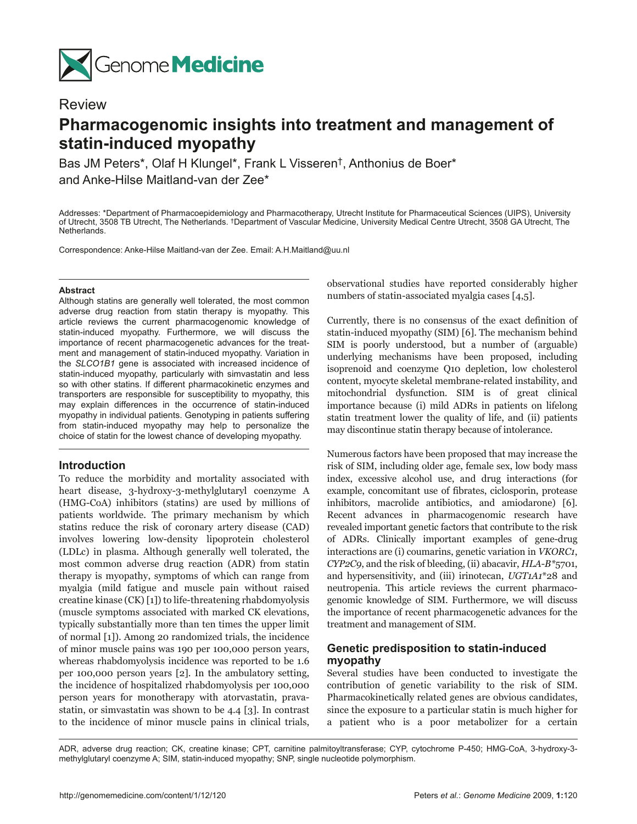

# Review

# **Pharmacogenomic insights into treatment and management of statin-induced myopathy**

Bas JM Peters\*, Olaf H Klungel\*, Frank L Visseren†, Anthonius de Boer\* and Anke-Hilse Maitland-van der Zee\*

Addresses: \*Department of Pharmacoepidemiology and Pharmacotherapy, Utrecht Institute for Pharmaceutical Sciences (UIPS), University of Utrecht, 3508 TB Utrecht, The Netherlands. †Department of Vascular Medicine, University Medical Centre Utrecht, 3508 GA Utrecht, The Netherlands.

Correspondence: Anke-Hilse Maitland-van der Zee. Email: A.H.Maitland@uu.nl

#### **Abstract**

Although statins are generally well tolerated, the most common adverse drug reaction from statin therapy is myopathy. This article reviews the current pharmacogenomic knowledge of statin-induced myopathy. Furthermore, we will discuss the importance of recent pharmacogenetic advances for the treatment and management of statin-induced myopathy. Variation in the *SLCO1B1* gene is associated with increased incidence of statin-induced myopathy, particularly with simvastatin and less so with other statins. If different pharmacokinetic enzymes and transporters are responsible for susceptibility to myopathy, this may explain differences in the occurrence of statin-induced myopathy in individual patients. Genotyping in patients suffering from statin-induced myopathy may help to personalize the choice of statin for the lowest chance of developing myopathy.

## **Introduction**

To reduce the morbidity and mortality associated with heart disease, 3-hydroxy-3-methylglutaryl coenzyme A (HMG-CoA) inhibitors (statins) are used by millions of patients worldwide. The primary mechanism by which statins reduce the risk of coronary artery disease (CAD) involves lowering low-density lipoprotein cholesterol (LDLc) in plasma. Although generally well tolerated, the most common adverse drug reaction (ADR) from statin therapy is myopathy, symptoms of which can range from myalgia (mild fatigue and muscle pain without raised creatine kinase (CK) [1]) to life-threatening rhabdomyolysis (muscle symptoms associated with marked CK elevations, typically substantially more than ten times the upper limit of normal [1]). Among 20 randomized trials, the incidence of minor muscle pains was 190 per 100,000 person years, whereas rhabdomyolysis incidence was reported to be 1.6 per 100,000 person years [2]. In the ambulatory setting, the incidence of hospitalized rhabdomyolysis per 100,000 person years for monotherapy with atorvastatin, pravastatin, or simvastatin was shown to be 4.4 [3]. In contrast to the incidence of minor muscle pains in clinical trials,

observational studies have reported considerably higher numbers of statin-associated myalgia cases [4,5].

Currently, there is no consensus of the exact definition of statin-induced myopathy (SIM) [6]. The mechanism behind SIM is poorly understood, but a number of (arguable) underlying mechanisms have been proposed, including isoprenoid and coenzyme Q10 depletion, low cholesterol content, myocyte skeletal membrane-related instability, and mitochondrial dysfunction. SIM is of great clinical importance because (i) mild ADRs in patients on lifelong statin treatment lower the quality of life, and (ii) patients may discontinue statin therapy because of intolerance.

Numerous factors have been proposed that may increase the risk of SIM, including older age, female sex, low body mass index, excessive alcohol use, and drug interactions (for example, concomitant use of fibrates, ciclosporin, protease inhibitors, macrolide antibiotics, and amiodarone) [6]. Recent advances in pharmacogenomic research have revealed important genetic factors that contribute to the risk of ADRs. Clinically important examples of gene-drug interactions are (i) coumarins, genetic variation in *VKORC1*, *CYP2C9*, and the risk of bleeding, (ii) abacavir, *HLA-B\**5701, and hypersensitivity, and (iii) irinotecan, *UGT1A1*\*28 and neutropenia. This article reviews the current pharmacogenomic knowledge of SIM. Furthermore, we will discuss the importance of recent pharmacogenetic advances for the treatment and management of SIM.

# **Genetic predisposition to statin-induced myopathy**

Several studies have been conducted to investigate the contribution of genetic variability to the risk of SIM. Pharmacokinetically related genes are obvious candidates, since the exposure to a particular statin is much higher for a patient who is a poor metabolizer for a certain

ADR, adverse drug reaction; CK, creatine kinase; CPT, carnitine palmitoyltransferase; CYP, cytochrome P-450; HMG-CoA, 3-hydroxy-3 methylglutaryl coenzyme A; SIM, statin-induced myopathy; SNP, single nucleotide polymorphism.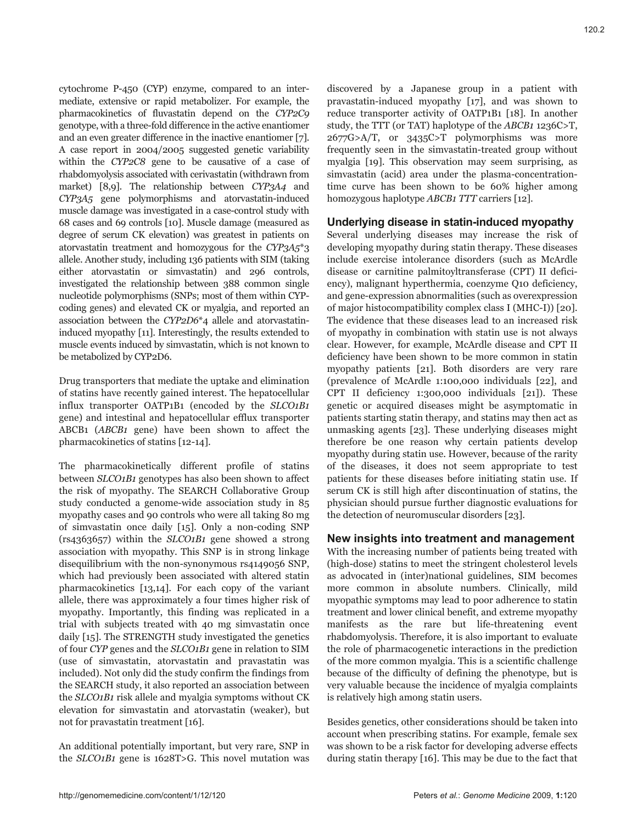cytochrome P-450 (CYP) enzyme, compared to an intermediate, extensive or rapid metabolizer. For example, the pharmacokinetics of fluvastatin depend on the *CYP2C9* genotype, with a three-fold difference in the active enantiomer and an even greater difference in the inactive enantiomer [7]. A case report in 2004/2005 suggested genetic variability within the *CYP2C8* gene to be causative of a case of rhabdomyolysis associated with cerivastatin (withdrawn from market) [8,9]. The relationship between *CYP3A4* and *CYP3A5* gene polymorphisms and atorvastatin-induced muscle damage was investigated in a case-control study with 68 cases and 69 controls [10]. Muscle damage (measured as degree of serum CK elevation) was greatest in patients on atorvastatin treatment and homozygous for the *CYP3A5*\*3 allele. Another study, including 136 patients with SIM (taking either atorvastatin or simvastatin) and 296 controls, investigated the relationship between 388 common single nucleotide polymorphisms (SNPs; most of them within CYPcoding genes) and elevated CK or myalgia, and reported an association between the *CYP2D6*\*4 allele and atorvastatininduced myopathy [11]. Interestingly, the results extended to muscle events induced by simvastatin, which is not known to be metabolized by CYP2D6.

Drug transporters that mediate the uptake and elimination of statins have recently gained interest. The hepatocellular influx transporter OATP1B1 (encoded by the *SLCO1B1*  gene) and intestinal and hepatocellular efflux transporter ABCB1 (*ABCB1* gene) have been shown to affect the pharmacokinetics of statins [12-14].

The pharmacokinetically different profile of statins between *SLCO1B1* genotypes has also been shown to affect the risk of myopathy. The SEARCH Collaborative Group study conducted a genome-wide association study in 85 myopathy cases and 90 controls who were all taking 80 mg of simvastatin once daily [15]. Only a non-coding SNP (rs4363657) within the *SLCO1B1* gene showed a strong association with myopathy. This SNP is in strong linkage disequilibrium with the non-synonymous rs4149056 SNP, which had previously been associated with altered statin pharmacokinetics [13,14]. For each copy of the variant allele, there was approximately a four times higher risk of myopathy. Importantly, this finding was replicated in a trial with subjects treated with 40 mg simvastatin once daily [15]. The STRENGTH study investigated the genetics of four *CYP* genes and the *SLCO1B1* gene in relation to SIM (use of simvastatin, atorvastatin and pravastatin was included). Not only did the study confirm the findings from the SEARCH study, it also reported an association between the *SLCO1B1* risk allele and myalgia symptoms without CK elevation for simvastatin and atorvastatin (weaker), but not for pravastatin treatment [16].

An additional potentially important, but very rare, SNP in the *SLCO1B1* gene is 1628T>G. This novel mutation was discovered by a Japanese group in a patient with pravastatin-induced myopathy [17], and was shown to reduce transporter activity of OATP1B1 [18]. In another study, the TTT (or TAT) haplotype of the *ABCB1* 1236C>T, 2677G>A/T, or 3435C>T polymorphisms was more frequently seen in the simvastatin-treated group without myalgia [19]. This observation may seem surprising, as simvastatin (acid) area under the plasma-concentrationtime curve has been shown to be 60% higher among homozygous haplotype *ABCB1 TTT* carriers [12].

# **Underlying disease in statin-induced myopathy**

Several underlying diseases may increase the risk of developing myopathy during statin therapy. These diseases include exercise intolerance disorders (such as McArdle disease or carnitine palmitoyltransferase (CPT) II deficiency), malignant hyperthermia, coenzyme Q10 deficiency, and gene-expression abnormalities (such as overexpression of major histocompatibility complex class I (MHC-I)) [20]. The evidence that these diseases lead to an increased risk of myopathy in combination with statin use is not always clear. However, for example, McArdle disease and CPT II deficiency have been shown to be more common in statin myopathy patients [21]. Both disorders are very rare (prevalence of McArdle 1:100,000 individuals [22], and CPT II deficiency 1:300,000 individuals [21]). These genetic or acquired diseases might be asymptomatic in patients starting statin therapy, and statins may then act as unmasking agents [23]. These underlying diseases might therefore be one reason why certain patients develop myopathy during statin use. However, because of the rarity of the diseases, it does not seem appropriate to test patients for these diseases before initiating statin use. If serum CK is still high after discontinuation of statins, the physician should pursue further diagnostic evaluations for the detection of neuromuscular disorders [23].

# **New insights into treatment and management**

With the increasing number of patients being treated with (high-dose) statins to meet the stringent cholesterol levels as advocated in (inter)national guidelines, SIM becomes more common in absolute numbers. Clinically, mild myopathic symptoms may lead to poor adherence to statin treatment and lower clinical benefit, and extreme myopathy manifests as the rare but life-threatening event rhabdomyolysis. Therefore, it is also important to evaluate the role of pharmacogenetic interactions in the prediction of the more common myalgia. This is a scientific challenge because of the difficulty of defining the phenotype, but is very valuable because the incidence of myalgia complaints is relatively high among statin users.

Besides genetics, other considerations should be taken into account when prescribing statins. For example, female sex was shown to be a risk factor for developing adverse effects during statin therapy [16]. This may be due to the fact that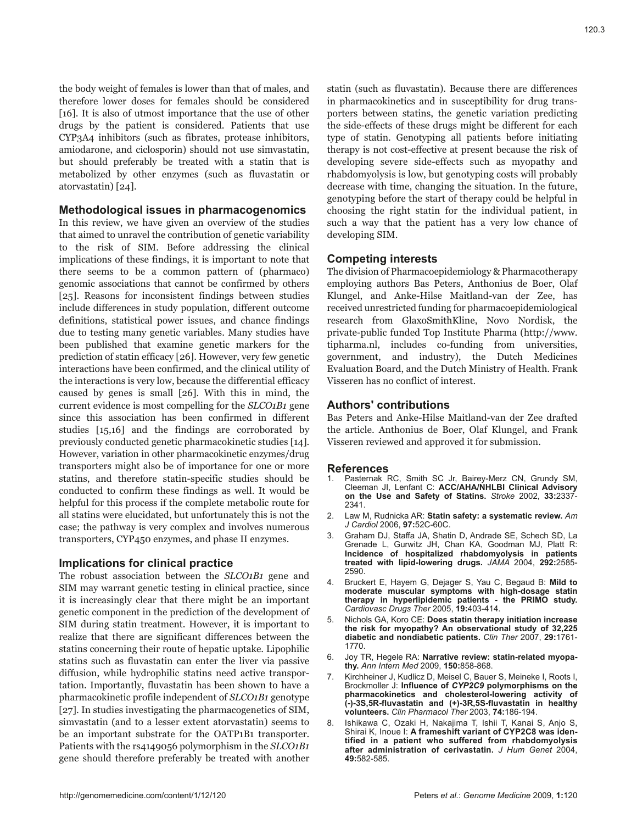the body weight of females is lower than that of males, and therefore lower doses for females should be considered [16]. It is also of utmost importance that the use of other drugs by the patient is considered. Patients that use CYP3A4 inhibitors (such as fibrates, protease inhibitors, amiodarone, and ciclosporin) should not use simvastatin, but should preferably be treated with a statin that is metabolized by other enzymes (such as fluvastatin or atorvastatin) [24].

### **Methodological issues in pharmacogenomics**

In this review, we have given an overview of the studies that aimed to unravel the contribution of genetic variability to the risk of SIM. Before addressing the clinical implications of these findings, it is important to note that there seems to be a common pattern of (pharmaco) genomic associations that cannot be confirmed by others [25]. Reasons for inconsistent findings between studies include differences in study population, different outcome definitions, statistical power issues, and chance findings due to testing many genetic variables. Many studies have been published that examine genetic markers for the prediction of statin efficacy [26]. However, very few genetic interactions have been confirmed, and the clinical utility of the interactions is very low, because the differential efficacy caused by genes is small [26]. With this in mind, the current evidence is most compelling for the *SLCO1B1* gene since this association has been confirmed in different studies [15,16] and the findings are corroborated by previously conducted genetic pharmacokinetic studies [14]. However, variation in other pharmacokinetic enzymes/drug transporters might also be of importance for one or more statins, and therefore statin-specific studies should be conducted to confirm these findings as well. It would be helpful for this process if the complete metabolic route for all statins were elucidated, but unfortunately this is not the case; the pathway is very complex and involves numerous transporters, CYP450 enzymes, and phase II enzymes.

#### **Implications for clinical practice**

The robust association between the *SLCO1B1* gene and SIM may warrant genetic testing in clinical practice, since it is increasingly clear that there might be an important genetic component in the prediction of the development of SIM during statin treatment. However, it is important to realize that there are significant differences between the statins concerning their route of hepatic uptake. Lipophilic statins such as fluvastatin can enter the liver via passive diffusion, while hydrophilic statins need active transportation. Importantly, fluvastatin has been shown to have a pharmacokinetic profile independent of *SLCO1B1* genotype [27]. In studies investigating the pharmacogenetics of SIM, simvastatin (and to a lesser extent atorvastatin) seems to be an important substrate for the OATP1B1 transporter. Patients with the rs4149056 polymorphism in the *SLCO1B1* gene should therefore preferably be treated with another

statin (such as fluvastatin). Because there are differences in pharmacokinetics and in susceptibility for drug transporters between statins, the genetic variation predicting the side-effects of these drugs might be different for each type of statin. Genotyping all patients before initiating therapy is not cost-effective at present because the risk of developing severe side-effects such as myopathy and rhabdomyolysis is low, but genotyping costs will probably decrease with time, changing the situation. In the future, genotyping before the start of therapy could be helpful in choosing the right statin for the individual patient, in such a way that the patient has a very low chance of developing SIM.

#### **Competing interests**

The division of Pharmacoepidemiology & Pharmacotherapy employing authors Bas Peters, Anthonius de Boer, Olaf Klungel, and Anke-Hilse Maitland-van der Zee, has received unrestricted funding for pharmacoepidemiological research from GlaxoSmithKline, Novo Nordisk, the private-public funded Top Institute Pharma (http://www. tipharma.nl, includes co-funding from universities, government, and industry), the Dutch Medicines Evaluation Board, and the Dutch Ministry of Health. Frank Visseren has no conflict of interest.

### **Authors' contributions**

Bas Peters and Anke-Hilse Maitland-van der Zee drafted the article. Anthonius de Boer, Olaf Klungel, and Frank Visseren reviewed and approved it for submission.

# **References**<br>1 Pasternak F

- Pasternak RC, Smith SC Jr, Bairey-Merz CN, Grundy SM, Cleeman JI, Lenfant C: **ACC/AHA/NHLBI Clinical Advisory on the Use and Safety of Statins.** *Stroke* 2002, **33:**2337- 2341.
- 2. Law M, Rudnicka AR: **Statin safety: a systematic review.** *Am J Cardiol* 2006, **97:**52C-60C.
- 3. Graham DJ, Staffa JA, Shatin D, Andrade SE, Schech SD, La Grenade L, Gurwitz JH, Chan KA, Goodman MJ, Platt R: **Incidence of hospitalized rhabdomyolysis in patients treated with lipid-lowering drugs.** *JAMA* 2004, **292:**2585- 2590.
- 4. Bruckert E, Hayem G, Dejager S, Yau C, Begaud B: **Mild to moderate muscular symptoms with high-dosage statin therapy in hyperlipidemic patients - the PRIMO study.** *Cardiovasc Drugs Ther* 2005, **19:**403-414.
- 5. Nichols GA, Koro CE: **Does statin therapy initiation increase the risk for myopathy? An observational study of 32,225 diabetic and nondiabetic patients.** *Clin Ther* 2007, **29:**1761- 1770.
- 6. Joy TR, Hegele RA: **Narrative review: statin-related myopathy.** *Ann Intern Med* 2009, **150:**858-868.
- 7. Kirchheiner J, Kudlicz D, Meisel C, Bauer S, Meineke I, Roots I, Brockmoller J: **Influence of** *CYP2C9* **polymorphisms on the pharmacokinetics and cholesterol-lowering activity of (-)-3S,5R-fluvastatin and (+)-3R,5S-fluvastatin in healthy volunteers.** *Clin Pharmacol Ther* 2003, **74:**186-194.
- 8. Ishikawa C, Ozaki H, Nakajima T, Ishii T, Kanai S, Anjo S, Shirai K, Inoue I: **A frameshift variant of CYP2C8 was identified in a patient who suffered from rhabdomyolysis after administration of cerivastatin.** *J Hum Genet* 2004, **49:**582-585.